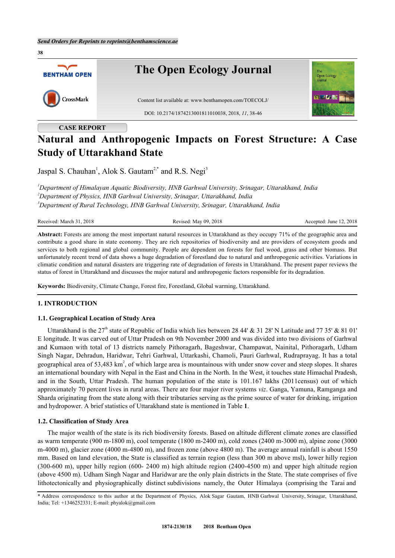

## **CASE REPORT**

# **Natural and Anthropogenic Impacts on Forest Structure: A Case Study of Uttarakhand State**

Jaspal S. Chauhan<sup>[1](#page-0-0)</sup>, Alok S. Gautam<sup>[2,](#page-0-1)[\\*](#page-0-2)</sup> and R.S. Negi<sup>[3](#page-0-3)</sup>

<span id="page-0-3"></span><span id="page-0-1"></span><span id="page-0-0"></span>*<sup>1</sup>Department of Himalayan Aquatic Biodiversity, HNB Garhwal University, Srinagar, Uttarakhand, India <sup>2</sup>Department of Physics, HNB Garhwal University, Srinagar, Uttarakhand, India <sup>3</sup>Department of Rural Technology, HNB Garhwal University, Srinagar, Uttarakhand, India*

Received: March 31, 2018 Revised: May 09, 2018 Accepted: June 12, 2018

**Abstract:** Forests are among the most important natural resources in Uttarakhand as they occupy 71% of the geographic area and contribute a good share in state economy. They are rich repositories of biodiversity and are providers of ecosystem goods and services to both regional and global community. People are dependent on forests for fuel wood, grass and other biomass. But unfortunately recent trend of data shows a huge degradation of forestland due to natural and anthropogenic activities. Variations in climatic condition and natural disasters are triggering rate of degradation of forests in Uttarakhand. The present paper reviews the status of forest in Uttarakhand and discusses the major natural and anthropogenic factors responsible for its degradation.

**Keywords:** Biodiversity, Climate Change, Forest fire, Forestland, Global warming, Uttarakhand.

## **1. INTRODUCTION**

## **1.1. Geographical Location of Study Area**

Uttarakhand is the 27<sup>th</sup> state of Republic of India which lies between 28 44' & 31 28' N Latitude and 77 35' & 81 01' E longitude. It was carved out of Uttar Pradesh on 9th November 2000 and was divided into two divisions of Garhwal and Kumaon with total of 13 districts namely Pithoragarh, Bageshwar, Champawat, Nainital, Pithoragarh, Udham Singh Nagar, Dehradun, Haridwar, Tehri Garhwal, Uttarkashi, Chamoli, Pauri Garhwal, Rudraprayag. It has a total geographical area of 53,483 km<sup>2</sup>, of which large area is mountainous with under snow cover and steep slopes. It shares an international boundary with Nepal in the East and China in the North. In the West, it touches state Himachal Pradesh, and in the South, Uttar Pradesh. The human population of the state is 101.167 lakhs (2011census) out of which approximately 70 percent lives in rural areas. There are four major river systems *viz*. Ganga, Yamuna, Ramganga and Sharda originating from the state along with their tributaries serving as the prime source of water for drinking, irrigation and hydropower. A brief statistics of Uttarakhand state is mentioned in Table **[1](#page-1-0)**.

## **1.2. Classification of Study Area**

The major wealth of the state is its rich biodiversity forests. Based on altitude different climate zones are classified as warm temperate (900 m-1800 m), cool temperate (1800 m-2400 m), cold zones (2400 m-3000 m), alpine zone (3000 m-4000 m), glacier zone (4000 m-4800 m), and frozen zone (above 4800 m). The average annual rainfall is about 1550 mm. Based on land elevation, the State is classified as terrain region (less than 300 m above msl), lower hilly region (300-600 m), upper hilly region (600- 2400 m) high altitude region (2400-4500 m) and upper high altitude region (above 4500 m). Udham Singh Nagar and Haridwar are the only plain districts in the State. The state comprises of five lithotectonically and physiographically distinct subdivisions namely, the Outer Himalaya (comprising the Tarai and

<span id="page-0-2"></span>\* Address correspondence to this author at the Department of Physics, Alok Sagar Gautam, HNB Garhwal University, Srinagar, Uttarakhand, India; Tel: +1346252331; E-mail: [phyalok@gmail.com](mailto:phyalok@gmail.com)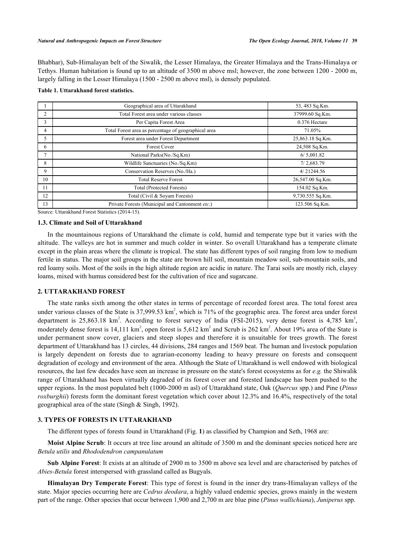Bhabhar), Sub-Himalayan belt of the Siwalik, the Lesser Himalaya, the Greater Himalaya and the Trans-Himalaya or Tethys. Human habitation is found up to an altitude of 3500 m above msl; however, the zone between 1200 - 2000 m, largely falling in the Lesser Himalaya (1500 - 2500 m above msl), is densely populated.

#### <span id="page-1-0"></span>**Table 1. Uttarakhand forest statistics.**

|                | Geographical area of Uttarakhand                     | 53, 483 Sq.Km.   |
|----------------|------------------------------------------------------|------------------|
| $\overline{2}$ | Total Forest area under various classes              | 37999.60 Sq.Km.  |
| 3              | Per Capita Forest Area                               | 0.376 Hectare    |
| 4              | Total Forest area as percentage of geographical area | 71.05%           |
| 5              | Forest area under Forest Department                  | 25,863.18 Sq.Km. |
| 6              | <b>Forest Cover</b>                                  | 24,508 Sq.Km.    |
| $\overline{ }$ | National Parks(No./Sq.Km)                            | 6/5,001.82       |
| 8              | Wildlife Sanctuaries (No./Sq.Km)                     | 7/2,683.79       |
| 9              | Conservation Reserves (No./Ha.)                      | 4/21244.56       |
| 10             | <b>Total Reserve Forest</b>                          | 26,547.00 Sq.Km. |
| 11             | <b>Total (Protected Forests)</b>                     | 154.02 Sq.Km.    |
| 12             | Total (Civil & Sovam Forests)                        | 9,730.555 Sq.Km. |
| 13             | Private Forests (Municipal and Cantonment etc.)      | 123.506 Sq.Km.   |

Source: Uttarakhand Forest Statistics (2014-15).

## **1.3. Climate and Soil of Uttarakhand**

In the mountainous regions of Uttarakhand the climate is cold, humid and temperate type but it varies with the altitude. The valleys are hot in summer and much colder in winter. So overall Uttarakhand has a temperate climate except in the plain areas where the climate is tropical. The state has different types of soil ranging from low to medium fertile in status. The major soil groups in the state are brown hill soil, mountain meadow soil, sub-mountain soils, and red loamy soils. Most of the soils in the high altitude region are acidic in nature. The Tarai soils are mostly rich, clayey loams, mixed with humus considered best for the cultivation of rice and sugarcane.

#### **2. UTTARAKHAND FOREST**

The state ranks sixth among the other states in terms of percentage of recorded forest area. The total forest area under various classes of the State is  $37,999.53 \text{ km}^2$ , which is 71% of the geographic area. The forest area under forest department is 25,863.18 km<sup>2</sup>. According to forest survey of India (FSI-2015), very dense forest is 4,785 km<sup>2</sup>, moderately dense forest is 14,111 km<sup>2</sup>, open forest is 5,612 km<sup>2</sup> and Scrub is 262 km<sup>2</sup>. About 19% area of the State is under permanent snow cover, glaciers and steep slopes and therefore it is unsuitable for trees growth. The forest department of Uttarakhand has 13 circles, 44 divisions, 284 ranges and 1569 beat. The human and livestock population is largely dependent on forests due to agrarian-economy leading to heavy pressure on forests and consequent degradation of ecology and environment of the area. Although the State of Uttarakhand is well endowed with biological resources, the last few decades have seen an increase in pressure on the state's forest ecosystems as for *e.g.* the Shiwalik range of Uttarakhand has been virtually degraded of its forest cover and forested landscape has been pushed to the upper regions. In the most populated belt (1000-2000 m asl) of Uttarakhand state, Oak (*Quercus* spp.) and Pine (*Pinus roxburghii*) forests form the dominant forest vegetation which cover about 12.3% and 16.4%, respectively of the total geographical area of the state ([Singh & Singh, 1992](#page-8-0)).

## **3. TYPES OF FORESTS IN UTTARAKHAND**

The different types of forests found in Uttarakhand (Fig. **[1](#page-2-0)**) as classified by Champion and Seth, 1968 are:

**Moist Alpine Scrub**: It occurs at tree line around an altitude of 3500 m and the dominant species noticed here are *Betula utilis* and *Rhododendron campanulatum*

**Sub Alpine Forest**: It exists at an altitude of 2900 m to 3500 m above sea level and are characterised by patches of *Abies-Betula* forest interspersed with grassland called as Bugyals.

**Himalayan Dry Temperate Forest**: This type of forest is found in the inner dry trans-Himalayan valleys of the state. Major species occurring here are *Cedrus deodara*, a highly valued endemic species, grows mainly in the western part of the range. Other species that occur between 1,900 and 2,700 m are blue pine (*Pinus wallichiana*), *Juniperus* spp.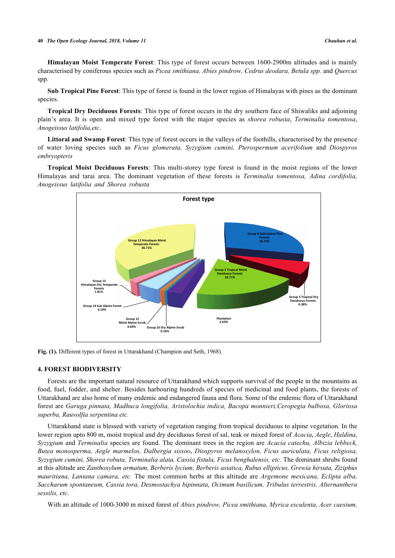**Himalayan Moist Temperate Forest**: This type of forest occurs between 1600-2900m altitudes and is mainly characterised by coniferous species such as *Picea smithiana, Abies pindrow, Cedrus deodara, Betula spp.* and *Quercus* spp.

**Sub Tropical Pine Forest**: This type of forest is found in the lower region of Himalayas with pines as the dominant species.

**Tropical Dry Deciduous Forests**: This type of forest occurs in the dry southern face of Shiwaliks and adjoining plain's area. It is open and mixed type forest with the major species as *shorea robusta*, *Terminalia tomentosa*, *Anogeissus latifolia,etc*.

**Littoral and Swamp Forest**: This type of forest occurs in the valleys of the foothills, characterised by the presence of water loving species such as *Ficus glomerata, Syzygium cumini, Pterospermum acerifolium* and *Diospyros embryopteris*

<span id="page-2-0"></span>**Tropical Moist Deciduous Forests**: This multi-storey type forest is found in the moist regions of the lower Himalayas and tarai area. The dominant vegetation of these forests is *Terminalia tomentosa, Adina cordifolia, Anogeissus latifolia and Shorea robusta*



**Fig. (1).** Different types of forest in Uttarakhand ([Champion and Seth, 1968](#page-7-0)).

## **4. FOREST BIODIVERSITY**

Forests are the important natural resource of Uttarakhand which supports survival of the people in the mountains as food, fuel, fodder, and shelter. Besides harbouring hundreds of species of medicinal and food plants, the forests of Uttarakhand are also home of many endemic and endangered fauna and flora. Some of the endemic flora of Uttarakhand forest are *Garuga pinnata, Madhuca longifolia, Aristolochia indica, Bacopa monnieri,Ceropegia bulbosa, Gloriosa superba, Rauvolfia serpentina etc.*

Uttarakhand state is blessed with variety of vegetation ranging from tropical deciduous to alpine vegetation. In the lower region upto 800 m, moist tropical and dry deciduous forest of sal, teak or mixed forest of *Acacia*, *Aegle*, *Haldina*, *Syzygium* and *Terminalia* species are found. The dominant trees in the region are *Acacia catechu, Albizia lebbeck, Butea monosperma, Aegle marmelos, Dalbergia sissoo*, *Diospyros melanoxylon, Ficus auriculata, Ficus religiosa, Syzygium cumini, Shorea robuta, Terminalia alata, Cassia fistula, Ficus benghalensis, etc.* The dominant shrubs found at this altitude are *Zanthoxylum armatum, Berberis lycium, Berberis asiatica, Rubus ellipticus, Grewia hirsuta, Ziziphus mauritiana, Lantana camara, etc.* The most common herbs at this altitude are *Argemone mexicana, Eclipta alba, Saccharum spontaneum, Cassia tora, Desmostachya bipinnata, Ocimum basilicum, Tribulus terrestris, Alternanthera sessilis, etc*.

With an altitude of 1000-3000 m mixed forest of *Abies pindrow, Picea smithiana, Myrica esculenta, Acer caesium,*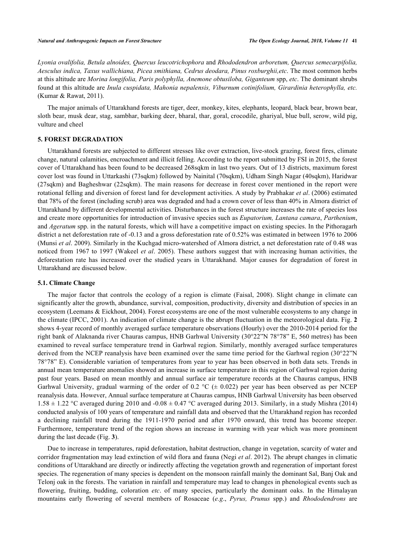*Lyonia ovalifolia, Betula alnoides, Quercus leucotrichophora* and *Rhododendron arboretum, Quercus semecarpifolia, Aesculus indica, Taxus wallichiana, Picea smithiana, Cedrus deodara, Pinus roxburghii,etc*. The most common herbs at this altitude are *Morina longifolia, Paris polyphylla, Anemone obtusiloba, Giganteum* spp, *etc*. The dominant shrubs found at this altitude are *Inula cuspidata, Mahonia nepalensis, Viburnum cotinifolium, Girardinia heterophylla, etc.* [\(Kumar & Rawat, 2011](#page-7-1)).

The major animals of Uttarakhand forests are tiger, deer, monkey, kites, elephants, leopard, black bear, brown bear, sloth bear, musk dear, stag, sambhar, barking deer, bharal, thar, goral, crocodile, ghariyal, blue bull, serow, wild pig, vulture and cheel

#### **5. FOREST DEGRADATION**

Uttarakhand forests are subjected to different stresses like over extraction, live-stock grazing, forest fires, climate change, natural calamities, encroachment and illicit felling. According to the report submitted by FSI in 2015, the forest cover of Uttarakhand has been found to be decreased 268sqkm in last two years. Out of 13 districts, maximum forest cover lost was found in Uttarkashi (73sqkm) followed by Nainital (70sqkm), Udham Singh Nagar (40sqkm), Haridwar (27sqkm) and Bagheshwar (22sqkm). The main reasons for decrease in forest cover mentioned in the report were rotational felling and diversion of forest land for development activities. A study by Prabhakar *et al*. (2006) estimated that 78% of the forest (including scrub) area was degraded and had a crown cover of less than 40% in Almora district of Uttarakhand by different developmental activities. Disturbances in the forest structure increases the rate of species loss and create more opportunities for introduction of invasive species such as *Eupatorium, Lantana camara*, *Parthenium*, and *Ageratum* spp. in the natural forests, which will have a competitive impact on existing species. In the Pithoragarh district a net deforestation rate of -0.13 and a gross deforestation rate of 0.52% was estimated in between 1976 to 2006 [\(Munsi](#page-7-2) *[et al](#page-7-2)*[. 2009](#page-7-2)). Similarly in the Kuchgad micro-watershed of Almora district, a net deforestation rate of 0.48 was noticed from 1967 to 1997 ([Wakeel](#page-8-1) *[et al](#page-8-1)*[. 2005](#page-8-1)). These authors suggest that with increasing human activities, the deforestation rate has increased over the studied years in Uttarakhand. Major causes for degradation of forest in Uttarakhand are discussed below.

## **5.1. Climate Change**

The major factor that controls the ecology of a region is climate([Faisal, 2008](#page-7-3)). Slight change in climate can significantly alter the growth, abundance, survival, composition, productivity, diversity and distribution of species in an ecosystem [\(Leemans & Eickhout, 2004\)](#page-7-4). Forest ecosystems are one of the most vulnerable ecosystems to any change in the climate (IPCC, 2001). An indication of climate change is the abrupt fluctuation in the meteorological data. Fig. **[2](#page-4-0)** shows 4-year record of monthly averaged surface temperature observations (Hourly) over the 2010-2014 period for the right bank of Alaknanda river Chauras campus, HNB Garhwal University (30°22"N 78°78" E, 560 metres) has been examined to reveal surface temperature trend in Garhwal region. Similarly, monthly averaged surface temperatures derived from the NCEP reanalysis have been examined over the same time period for the Garhwal region (30°22"N 78°78" E). Considerable variation of temperatures from year to year has been observed in both data sets. Trends in annual mean temperature anomalies showed an increase in surface temperature in this region of Garhwal region during past four years. Based on mean monthly and annual surface air temperature records at the Chauras campus, HNB Garhwal University, gradual warming of the order of 0.2  $\degree$ C ( $\pm$  0.022) per year has been observed as per NCEP reanalysis data. However, Annual surface temperature at Chauras campus, HNB Garhwal University has been observed  $1.58 \pm 1.22$  °C averaged during 2010 and  $-0.08 \pm 0.47$  °C averaged during 2013. Similarly, in a study [Mishra \(2014\)](#page-7-5) conducted analysis of 100 years of temperature and rainfall data and observed that the Uttarakhand region has recorded a declining rainfall trend during the 1911-1970 period and after 1970 onward, this trend has become steeper. Furthermore, temperature trend of the region shows an increase in warming with year which was more prominent during the last decade (Fig. **[3](#page-4-1)**).

Due to increase in temperatures, rapid deforestation, habitat destruction, change in vegetation, scarcity of water and corridor fragmentation may lead extinction of wild flora and fauna ([Negi](#page-7-6) *[et al](#page-7-6)*[. 2012](#page-7-6)). The abrupt changes in climatic conditions of Uttarakhand are directly or indirectly affecting the vegetation growth and regeneration of important forest species. The regeneration of many species is dependent on the monsoon rainfall mainly the dominant Sal, Banj Oak and Telonj oak in the forests. The variation in rainfall and temperature may lead to changes in phenological events such as flowering, fruiting, budding, coloration *etc*. of many species, particularly the dominant oaks. In the Himalayan mountains early flowering of several members of Rosaceae (*e.g*., *Pyrus, Prunus* spp.) and *Rhododendrons* are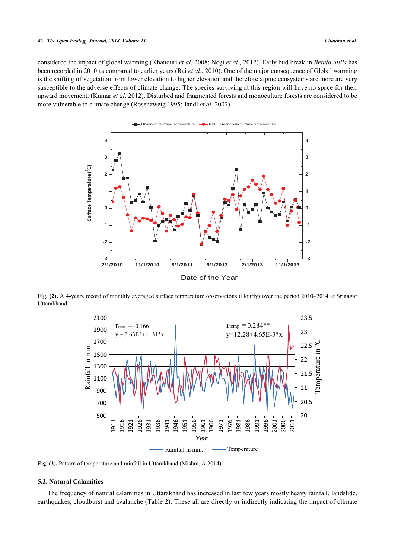#### **42** *The Open Ecology Journal, 2018, Volume 11 Chauhan et al.*

<span id="page-4-0"></span>considered the impact of global warming [\(Khanduri](#page-7-7) *[et al](#page-7-7)*[. 2008](#page-7-7); [Negi](#page-7-6) *[et al](#page-7-6)*[., 2012\)](#page-7-6). Early bud break in *Betula utilis* has been recorded in 2010 as compared to earlier years (Rai *et al*., 2010). One of the major consequence of Global warming is the shifting of vegetation from lower elevation to higher elevation and therefore alpine ecosystems are more are very susceptible to the adverse effects of climate change. The species surviving at this region will have no space for their upward movement. [\(Kumar](#page-7-8) *[et al](#page-7-8)*[. 2012](#page-7-8)). Disturbed and fragmented forests and monoculture forests are considered to be more vulnerable to climate change ([Rosenzweig 1995](#page-8-2); [Jandl](#page-7-9) *[et al.](#page-7-9)* [2007\)](#page-7-9).



<span id="page-4-1"></span>**Fig. (2).** A 4-years record of monthly averaged surface temperature observations (Hourly) over the period 2010–2014 at Srinagar Uttarakhand.



Fig. (3). Pattern of temperature and rainfall in Uttarakhand (Mishra, A 2014).

## **5.2. Natural Calamities**

The frequency of natural calamities in Uttarakhand has increased in last few years mostly heavy rainfall, landslide, earthquakes, cloudburst and avalanche (Table **[2](#page-5-0)**). These all are directly or indirectly indicating the impact of climate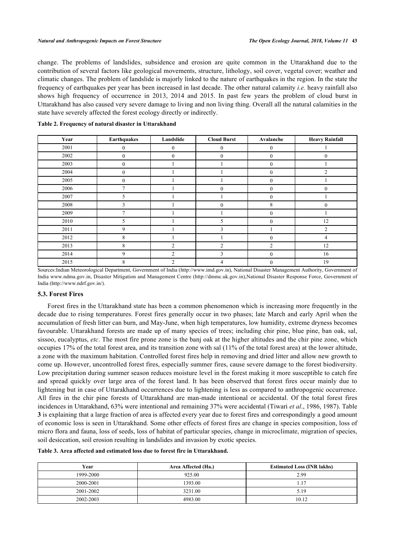change. The problems of landslides, subsidence and erosion are quite common in the Uttarakhand due to the contribution of several factors like geological movements, structure, lithology, soil cover, vegetal cover; weather and climatic changes. The problem of landslide is majorly linked to the nature of earthquakes in the region. In the state the frequency of earthquakes per year has been increased in last decade. The other natural calamity *i.e.* heavy rainfall also shows high frequency of occurrence in 2013, 2014 and 2015. In past few years the problem of cloud burst in Uttarakhand has also caused very severe damage to living and non living thing. Overall all the natural calamities in the state have severely affected the forest ecology directly or indirectly.

<span id="page-5-0"></span>

|  |  | Table 2. Frequency of natural disaster in Uttarakhand |
|--|--|-------------------------------------------------------|
|  |  |                                                       |

| Year | <b>Earthquakes</b> | Landslide      | <b>Cloud Burst</b> | Avalanche      | <b>Heavy Rainfall</b> |
|------|--------------------|----------------|--------------------|----------------|-----------------------|
| 2001 | $\overline{0}$     | $\mathbf{0}$   | 0                  | $\mathbf{0}$   |                       |
| 2002 | $\overline{0}$     | $\mathbf{0}$   | 0                  | $\mathbf{0}$   | $\mathbf{0}$          |
| 2003 | $\mathbf{0}$       |                |                    | $\mathbf{0}$   |                       |
| 2004 | $\mathbf{0}$       |                |                    | $\mathbf{0}$   | $\mathfrak{D}$        |
| 2005 | $\mathbf{0}$       |                |                    | $\mathbf{0}$   |                       |
| 2006 | $\tau$             |                | $\Omega$           | $\mathbf{0}$   | $\mathbf{0}$          |
| 2007 | 5                  |                |                    | $\mathbf{0}$   |                       |
| 2008 | 3                  |                | 0                  | 8              | $\mathbf{0}$          |
| 2009 | $\overline{7}$     |                |                    | $\mathbf{0}$   |                       |
| 2010 | 5                  |                | ጎ                  | $\mathbf{0}$   | 12                    |
| 2011 | 9                  |                | 3                  |                | $\overline{2}$        |
| 2012 | 8                  |                |                    | $\mathbf{0}$   | $\overline{4}$        |
| 2013 | 8                  | $\overline{2}$ | $\overline{c}$     | $\overline{2}$ | 12                    |
| 2014 | 9                  | $\overline{2}$ | 3                  | $\mathbf{0}$   | 16                    |
| 2015 | 8                  | $\overline{2}$ | 4                  | $\mathbf{0}$   | 19                    |

Sources:Indian Meteorological Department, Government of India [\(http://www.imd.gov.in\)](http://www.imd.gov.in), National Disaster Management Authority, Government of India [www.ndma.gov.in](http://www.ndma.gov.in), Disaster Mitigation and Management Centre ([http://dmmc.uk.gov.in\)](http://dmmc.uk.gov.in),National Disaster Response Force, Government of India (<http://www.ndrf.gov.in/>).

## **5.3. Forest Fires**

Forest fires in the Uttarakhand state has been a common phenomenon which is increasing more frequently in the decade due to rising temperatures. Forest fires generally occur in two phases; late March and early April when the accumulation of fresh litter can burn, and May-June, when high temperatures, low humidity, extreme dryness becomes favourable. Uttarakhand forests are made up of many species of trees; including chir pine, blue pine, ban oak, sal, sissoo, eucalyptus, *etc*. The most fire prone zone is the banj oak at the higher altitudes and the chir pine zone, which occupies 17% of the total forest area, and its transition zone with sal (11% of the total forest area) at the lower altitude, a zone with the maximum habitation. Controlled forest fires help in removing and dried litter and allow new growth to come up. However, uncontrolled forest fires, especially summer fires, cause severe damage to the forest biodiversity. Low precipitation during summer season reduces moisture level in the forest making it more susceptible to catch fire and spread quickly over large area of the forest land. It has been observed that forest fires occur mainly due to lightening but in case of Uttarakhand occurrences due to lightening is less as compared to anthropogenic occurrence. All fires in the chir pine forests of Uttarakhand are man-made intentional or accidental. Of the total forest fires incidences in Uttarakhand, 63% were intentional and remaining 37% were accidental ([Tiwari](#page-8-3) *[et al](#page-8-3)*[., 1986,](#page-8-3) [1987](#page-8-4)). Table **[3](#page-5-1)** is explaining that a large fraction of area is affected every year due to forest fires and correspondingly a good amount of economic loss is seen in Uttarakhand. Some other effects of forest fires are change in species composition, loss of micro flora and fauna, loss of seeds, loss of habitat of particular species, change in microclimate, migration of species, soil desiccation, soil erosion resulting in landslides and invasion by exotic species.

#### <span id="page-5-1"></span>**Table 3. Area affected and estimated loss due to forest fire in Uttarakhand.**

| Year      | Area Affected (Ha.) | <b>Estimated Loss (INR lakhs)</b> |
|-----------|---------------------|-----------------------------------|
| 1999-2000 | 925.00              | 2.99                              |
| 2000-2001 | 1393.00             | 1.17                              |
| 2001-2002 | 3231.00             | 5.19                              |
| 2002-2003 | 4983.00             | 10.12                             |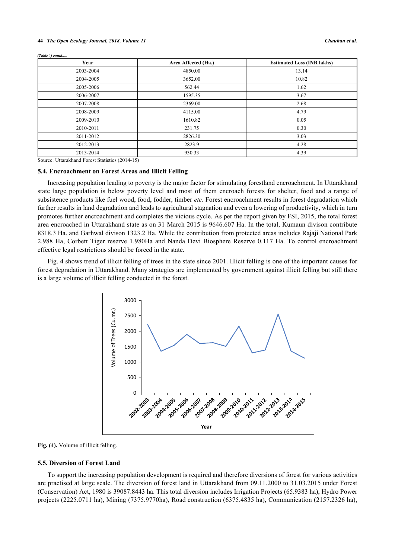#### **44** *The Open Ecology Journal, 2018, Volume 11 Chauhan et al.*

| Year      | Area Affected (Ha.) | <b>Estimated Loss (INR lakhs)</b> |
|-----------|---------------------|-----------------------------------|
| 2003-2004 | 4850.00             | 13.14                             |
| 2004-2005 | 3652.00             | 10.82                             |
| 2005-2006 | 562.44              | 1.62                              |
| 2006-2007 | 1595.35             | 3.67                              |
| 2007-2008 | 2369.00             | 2.68                              |
| 2008-2009 | 4115.00             | 4.79                              |
| 2009-2010 | 1610.82             | 0.05                              |
| 2010-2011 | 231.75              | 0.30                              |
| 2011-2012 | 2826.30             | 3.03                              |
| 2012-2013 | 2823.9              | 4.28                              |
| 2013-2014 | 930.33              | 4.39                              |

*(Table ) contd.....*

Source: Uttarakhand Forest Statistics (2014-15)

#### **5.4. Encroachment on Forest Areas and Illicit Felling**

Increasing population leading to poverty is the major factor for stimulating forestland encroachment. In Uttarakhand state large population is below poverty level and most of them encroach forests for shelter, food and a range of subsistence products like fuel wood, food, fodder, timber *etc*. Forest encroachment results in forest degradation which further results in land degradation and leads to agricultural stagnation and even a lowering of productivity, which in turn promotes further encroachment and completes the vicious cycle. As per the report given by FSI, 2015, the total forest area encroached in Uttarakhand state as on 31 March 2015 is 9646.607 Ha. In the total, Kumaun divison contribute 8318.3 Ha. and Garhwal divison 1323.2 Ha. While the contribution from protected areas includes Rajaji National Park 2.988 Ha, Corbett Tiger reserve 1.980Ha and Nanda Devi Biosphere Reserve 0.117 Ha. To control encroachment effective legal restrictions should be forced in the state.

<span id="page-6-0"></span>Fig. **[4](#page-6-0)** shows trend of illicit felling of trees in the state since 2001. Illicit felling is one of the important causes for forest degradation in Uttarakhand. Many strategies are implemented by government against illicit felling but still there is a large volume of illicit felling conducted in the forest.





## **5.5. Diversion of Forest Land**

To support the increasing population development is required and therefore diversions of forest for various activities are practised at large scale. The diversion of forest land in Uttarakhand from 09.11.2000 to 31.03.2015 under Forest (Conservation) Act, 1980 is 39087.8443 ha. This total diversion includes Irrigation Projects (65.9383 ha), Hydro Power projects (2225.0711 ha), Mining (7375.9770ha), Road construction (6375.4835 ha), Communication (2157.2326 ha),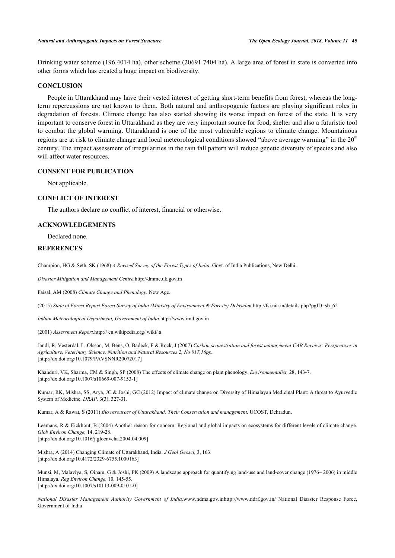Drinking water scheme (196.4014 ha), other scheme (20691.7404 ha). A large area of forest in state is converted into other forms which has created a huge impact on biodiversity.

## **CONCLUSION**

People in Uttarakhand may have their vested interest of getting short-term benefits from forest, whereas the longterm repercussions are not known to them. Both natural and anthropogenic factors are playing significant roles in degradation of forests. Climate change has also started showing its worse impact on forest of the state. It is very important to conserve forest in Uttarakhand as they are very important source for food, shelter and also a futuristic tool to combat the global warming. Uttarakhand is one of the most vulnerable regions to climate change. Mountainous regions are at risk to climate change and local meteorological conditions showed "above average warming" in the 20<sup>th</sup> century. The impact assessment of irregularities in the rain fall pattern will reduce genetic diversity of species and also will affect water resources.

## **CONSENT FOR PUBLICATION**

Not applicable.

#### **CONFLICT OF INTEREST**

The authors declare no conflict of interest, financial or otherwise.

## **ACKNOWLEDGEMENTS**

Declared none.

## **REFERENCES**

<span id="page-7-0"></span>Champion, HG & Seth, SK (1968) *A Revised Survey of the Forest Types of India.* Govt. of India Publications, New Delhi.

<span id="page-7-3"></span>*Disaster Mitigation and Management Centre.*<http://dmmc.uk.gov.in>

Faisal, AM (2008) *Climate Change and Phenology.* New Age.

(2015) *State of Forest Report Forest Survey of India (Ministry of Environment & Forests) Dehradun.*[http://fsi.nic.in/details.php?pgID=sb\\_62](http://fsi.nic.in/details.php?pgID=sb_62)

*Indian Meteorological Department, Government of India.*<http://www.imd.gov.in>

<span id="page-7-9"></span>(2001) *Assessment Report.*[http:// en.wikipedia.org/ wiki/](http://en.wikipedia.org/wiki/) a

Jandl, R, Vesterdal, L, Olsson, M, Bens, O, Badeck, F & Rock, J (2007) *Carbon sequestration and forest management CAB Reviews: Perspectives in Agriculture, Veterinary Science, Nutrition and Natural Resources 2, No 017,16pp.* [\[http://dx.doi.org/10.1079/PAVSNNR20072017](http://dx.doi.org/10.1079/PAVSNNR20072017)]

<span id="page-7-7"></span>Khanduri, VK, Sharma, CM & Singh, SP (2008) The effects of climate change on plant phenology. *Environmentalist,* 28, 143-7. [\[http://dx.doi.org/10.1007/s10669-007-9153-1\]](http://dx.doi.org/10.1007/s10669-007-9153-1)

<span id="page-7-8"></span>Kumar, RK, Mishra, SS, Arya, JC & Joshi, GC (2012) Impact of climate change on Diversity of Himalayan Medicinal Plant: A threat to Ayurvedic System of Medicine. *IJRAP,* 3(3), 327-31.

<span id="page-7-4"></span><span id="page-7-1"></span>Kumar, A & Rawat, S (2011) *Bio resources of Uttarakhand: Their Conservation and management.* UCOST, Dehradun.

Leemans, R & Eickhout, B (2004) Another reason for concern: Regional and global impacts on ecosystems for different levels of climate change. *Glob Environ Change,* 14, 219-28. [\[http://dx.doi.org/10.1016/j.gloenvcha.2004.04.009\]](http://dx.doi.org/10.1016/j.gloenvcha.2004.04.009)

<span id="page-7-5"></span>Mishra, A (2014) Changing Climate of Uttarakhand, India. *J Geol Geosci,* 3, 163. [\[http://dx.doi.org/10.4172/2329-6755.1000163](http://dx.doi.org/10.4172/2329-6755.1000163)]

<span id="page-7-2"></span>Munsi, M, Malaviya, S, Oinam, G & Joshi, PK (2009) A landscape approach for quantifying land-use and land-cover change (1976– 2006) in middle Himalaya. *Reg Environ Change,* 10, 145-55. [\[http://dx.doi.org/10.1007/s10113-009-0101-0\]](http://dx.doi.org/10.1007/s10113-009-0101-0)

<span id="page-7-6"></span>*National Disaster Management Authority Government of India.*[www.ndma.gov.in](http://www.ndma.gov.in)<http://www.ndrf.gov.in/> National Disaster Response Force, Government of India